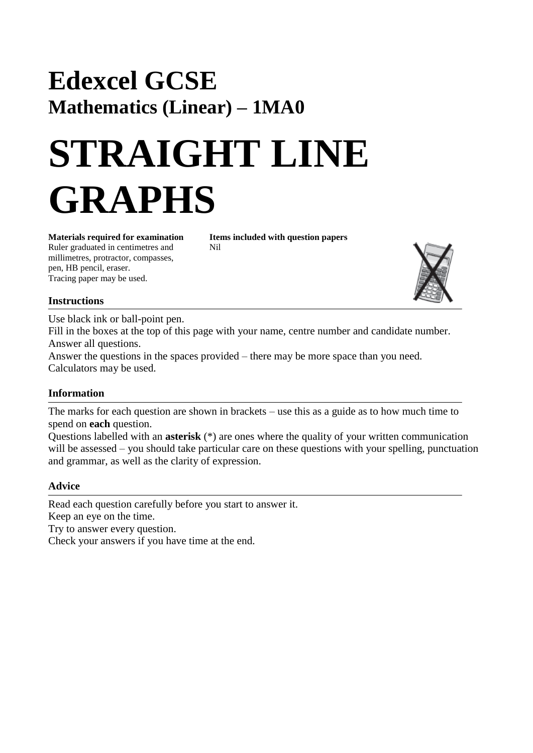# **Edexcel GCSE Mathematics (Linear) – 1MA0**

# **STRAIGHT LINE GRAPHS**

Ruler graduated in centimetres and Nil millimetres, protractor, compasses, pen, HB pencil, eraser. Tracing paper may be used.

**Materials required for examination Items included with question papers**



#### **Instructions**

Use black ink or ball-point pen.

Fill in the boxes at the top of this page with your name, centre number and candidate number. Answer all questions.

Answer the questions in the spaces provided – there may be more space than you need. Calculators may be used.

#### **Information**

The marks for each question are shown in brackets – use this as a guide as to how much time to spend on **each** question.

Questions labelled with an **asterisk** (\*) are ones where the quality of your written communication will be assessed – you should take particular care on these questions with your spelling, punctuation and grammar, as well as the clarity of expression.

#### **Advice**

Read each question carefully before you start to answer it. Keep an eye on the time. Try to answer every question. Check your answers if you have time at the end.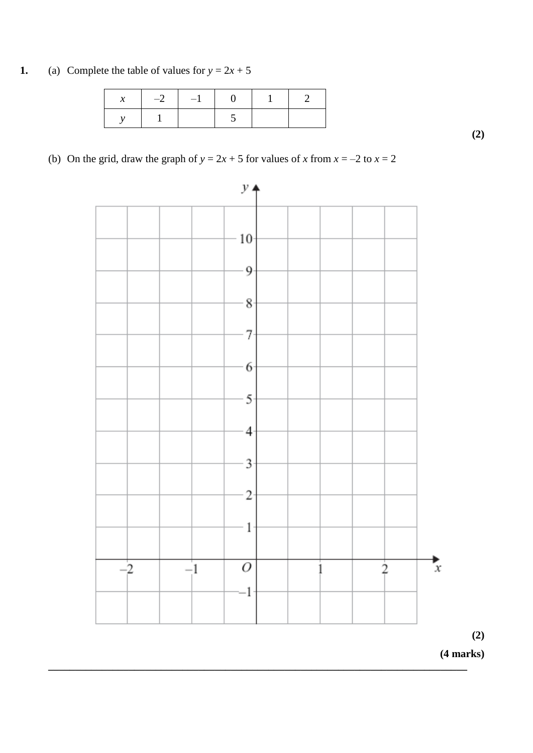**1.** (a) Complete the table of values for  $y = 2x + 5$ 

|  | $-2$ $-1$ $-1$ |  |  |
|--|----------------|--|--|
|  |                |  |  |

(b) On the grid, draw the graph of  $y = 2x + 5$  for values of *x* from  $x = -2$  to  $x = 2$ 



**\_\_\_\_\_\_\_\_\_\_\_\_\_\_\_\_\_\_\_\_\_\_\_\_\_\_\_\_\_\_\_\_\_\_\_\_\_\_\_\_\_\_\_\_\_\_\_\_\_\_\_\_\_\_\_\_\_\_\_\_\_\_\_\_\_\_\_\_\_\_\_\_\_\_\_\_\_\_**

**(2)**

**(2)**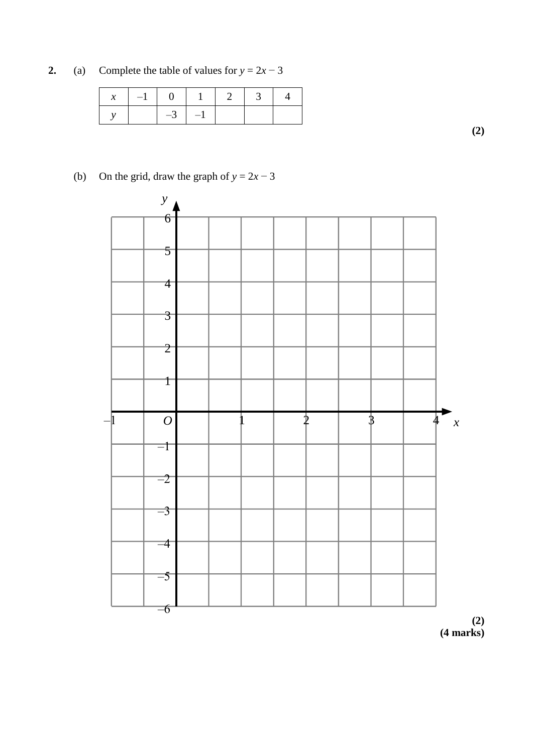**2.** (a) Complete the table of values for  $y = 2x - 3$ 

|  |             | $x \mid -1 \mid 0 \mid 1 \mid 2 \mid 3 \mid$ |  |
|--|-------------|----------------------------------------------|--|
|  | $-3$   $-1$ |                                              |  |

**(2)**

## (b) On the grid, draw the graph of  $y = 2x - 3$



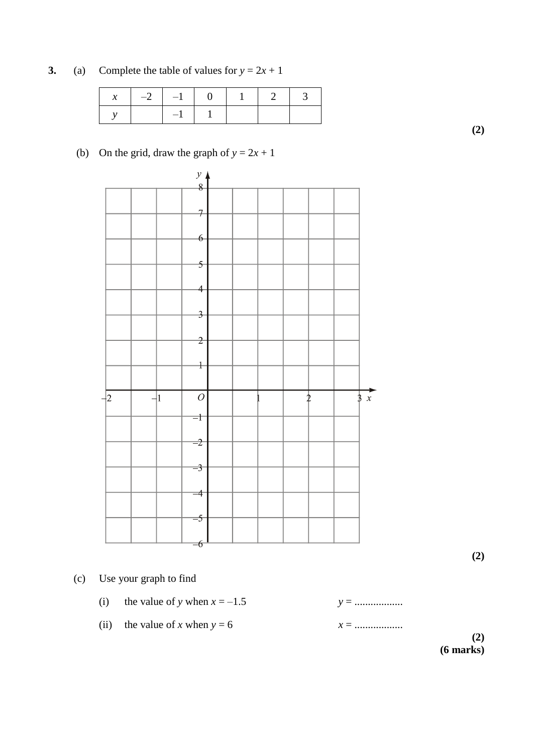**3.** (a) Complete the table of values for  $y = 2x + 1$ 

|  | $x \mid -2 \mid -1 \mid 0 \mid 1 \mid 2 \mid 3$ |  |  |  |
|--|-------------------------------------------------|--|--|--|
|  |                                                 |  |  |  |

**(2)**

### (b) On the grid, draw the graph of  $y = 2x + 1$



**(2)**

- (c) Use your graph to find
	- (i) the value of *y* when  $x = -1.5$   $y = 0.001$  *y*  $y = 0.001$
	- (ii) the value of *x* when  $y = 6$   $x = 0.001$

**(2) (6 marks)**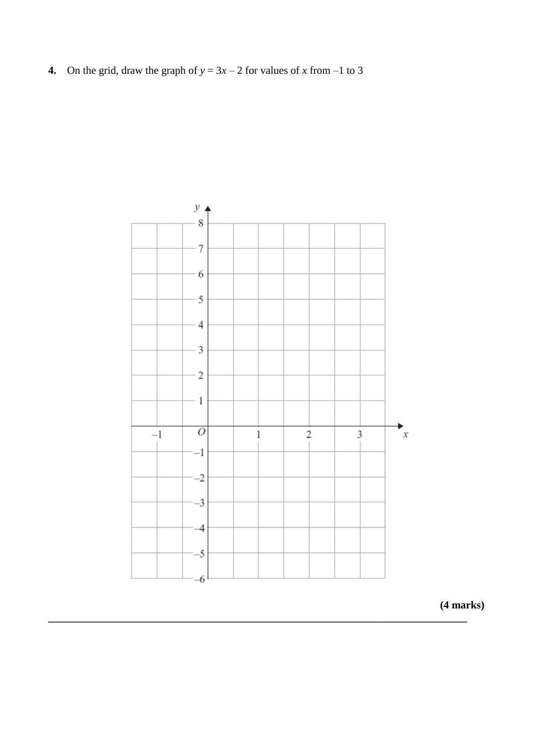**4.** On the grid, draw the graph of  $y = 3x - 2$  for values of *x* from  $-1$  to 3



**\_\_\_\_\_\_\_\_\_\_\_\_\_\_\_\_\_\_\_\_\_\_\_\_\_\_\_\_\_\_\_\_\_\_\_\_\_\_\_\_\_\_\_\_\_\_\_\_\_\_\_\_\_\_\_\_\_\_\_\_\_\_\_\_\_\_\_\_\_\_\_\_\_\_\_\_\_\_**

**(4 marks)**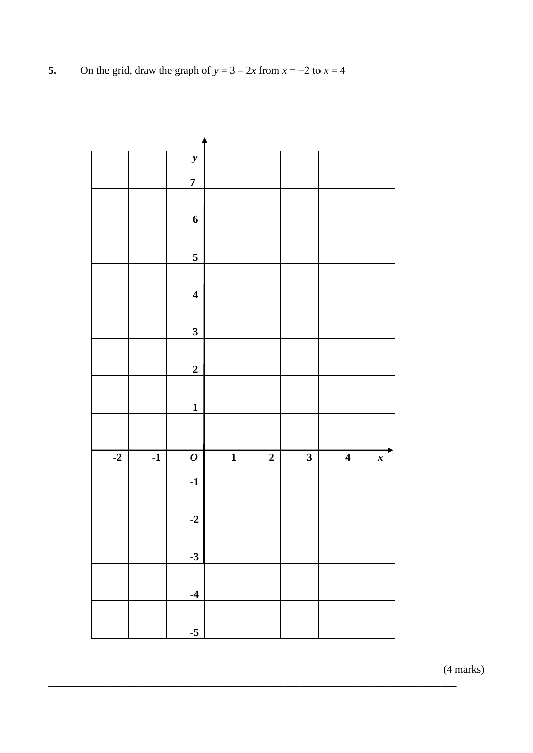**5.** On the grid, draw the graph of  $y = 3 - 2x$  from  $x = -2$  to  $x = 4$ 



**\_\_\_\_\_\_\_\_\_\_\_\_\_\_\_\_\_\_\_\_\_\_\_\_\_\_\_\_\_\_\_\_\_\_\_\_\_\_\_\_\_\_\_\_\_\_\_\_\_\_\_\_\_\_\_\_\_\_\_\_\_\_\_\_\_\_\_\_\_\_\_\_\_\_\_\_**

(4 marks)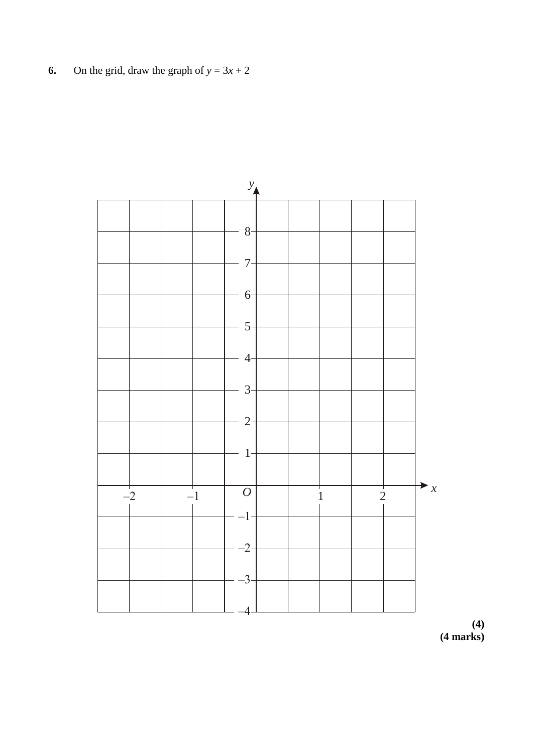On the grid, draw the graph of  $y = 3x + 2$ 6.